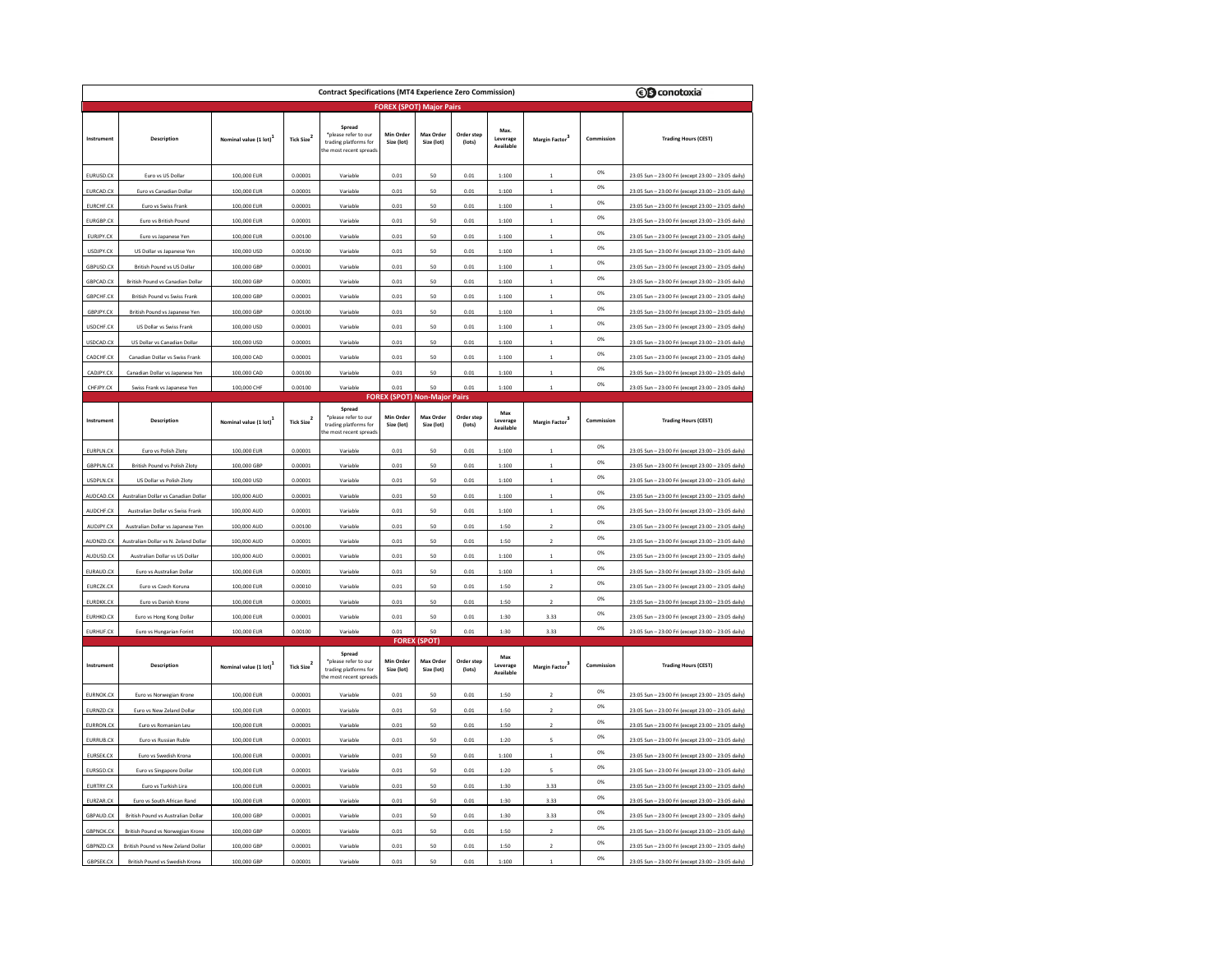| <b><i>CD</i></b> conotoxia<br><b>Contract Specifications (MT4 Experience Zero Commission)</b> |                                                                  |                            |                        |                                                                                    |                         |                                                                |                      |                               |                            |            |                                                                                                          |  |  |
|-----------------------------------------------------------------------------------------------|------------------------------------------------------------------|----------------------------|------------------------|------------------------------------------------------------------------------------|-------------------------|----------------------------------------------------------------|----------------------|-------------------------------|----------------------------|------------|----------------------------------------------------------------------------------------------------------|--|--|
| <b>FOREX (SPOT) Major Pairs</b>                                                               |                                                                  |                            |                        |                                                                                    |                         |                                                                |                      |                               |                            |            |                                                                                                          |  |  |
| Instrument                                                                                    | Description                                                      | Nominal value (1 lot)      | Tick Size <sup>2</sup> | Spread<br>*please refer to our<br>trading platforms for<br>the most recent spreads | Min Order<br>Size (lot) | Max Order<br>Size (lot)                                        | Order step<br>(lots) | Max.<br>Leverage<br>Available | Margin Factor <sup>3</sup> | Commission | <b>Trading Hours (CEST)</b>                                                                              |  |  |
| EURUSD.CX                                                                                     | Euro vs US Dollar                                                | 100,000 EUR                | 0.00001                | Variable                                                                           | 0.01                    | 50                                                             | 0.01                 | 1:100                         |                            | 0%         | 23:05 Sun - 23:00 Fri (except 23:00 - 23:05 daily)                                                       |  |  |
| EURCAD.C)                                                                                     | Euro vs Canadian Dollar                                          | 100,000 EUR                | 0.0000                 | Variable                                                                           | 0.01                    | 50                                                             | 0.01                 | 1:100                         |                            | 0%         | 23:05 Sun - 23:00 Fri (except 23:00 - 23:05 daily)                                                       |  |  |
| EURCHF.CX                                                                                     | Euro vs Swiss Frank                                              | 100,000 EUR                | 0.00001                | Variable                                                                           | 0.01                    | 50                                                             | 0.01                 | 1:100                         |                            | 0%         | 23:05 Sun - 23:00 Fri (except 23:00 - 23:05 daily)                                                       |  |  |
| EURGBP.CX                                                                                     | Euro vs British Pound                                            | 100,000 EUR                | 0.00001                | Variable                                                                           | 0.01                    | 50                                                             | 0.01                 | 1:100                         |                            | 0%         | 23:05 Sun - 23:00 Fri (except 23:00 - 23:05 daily)                                                       |  |  |
| EURJPY.CX                                                                                     | Euro vs Japanese Yen                                             | 100,000 EUR                | 0.00100                | Variable                                                                           | 0.01                    | 50                                                             | 0.01                 | 1:100                         |                            | 0%         | 23:05 Sun - 23:00 Fri (except 23:00 - 23:05 daily)                                                       |  |  |
| USDJPY.CX                                                                                     | US Dollar vs Japanese Yen                                        | 100,000 USD                | 0.00100                | Variable                                                                           | 0.01                    | 50                                                             | 0.01                 | 1:100                         |                            | 0%         | 23:05 Sun - 23:00 Fri (except 23:00 - 23:05 daily)                                                       |  |  |
| GBPUSD.CX                                                                                     | British Pound vs US Dollar                                       | 100,000 GBP                | 0.00001                | Variable                                                                           | 0.01                    | 50                                                             | 0.01                 | 1:100                         |                            | O%         | 23:05 Sun - 23:00 Fri (except 23:00 - 23:05 daily)                                                       |  |  |
| GBPCAD.CX                                                                                     | British Pound vs Canadian Dollar                                 | 100,000 GBP                | 0.00001                | Variable                                                                           | 0.01                    | 50                                                             | 0.01                 | 1:100                         | $\overline{1}$             | 0%         | 23:05 Sun - 23:00 Fri (except 23:00 - 23:05 daily)                                                       |  |  |
| GBPCHF.CX                                                                                     | British Pound vs Swiss Frank                                     | 100,000 GBP                | 0.00001                | Variable                                                                           | 0.01                    | 50                                                             | 0.01                 | 1:100                         |                            | 0%         | 23:05 Sun - 23:00 Fri (except 23:00 - 23:05 daily)                                                       |  |  |
| GBPJPY.CX                                                                                     | British Pound vs Japanese Yen                                    | 100,000 GBF                | 0.00100                | Variable                                                                           | 0.01                    | 50                                                             | 0.01                 | 1:100                         |                            | 0%         | 23:05 Sun - 23:00 Fri (except 23:00 - 23:05 daily)                                                       |  |  |
| USDCHF.CX                                                                                     | US Dollar vs Swiss Frank                                         | 100,000 USD                | 0.0000                 | Variable                                                                           | 0.01                    | 50                                                             | 0.01                 | 1:100                         |                            | O%         | 23:05 Sun - 23:00 Fri (except 23:00 - 23:05 daily)                                                       |  |  |
| USDCAD.CX                                                                                     | US Dollar vs Canadian Dollar                                     | 100,000 USD                | 0.00001                | Variable                                                                           | 0.01                    | 50                                                             | 0.01                 | 1:100                         | $\overline{1}$             | 0%         | 23:05 Sun - 23:00 Fri (except 23:00 - 23:05 daily)                                                       |  |  |
| CADCHF.CX                                                                                     | Canadian Dollar vs Swiss Frank                                   | 100,000 CAD                | 0.00001                | Variable                                                                           | 0.01                    | 50                                                             | 0.01                 | 1:100                         | $\overline{1}$             | 0%         | 23:05 Sun - 23:00 Fri (except 23:00 - 23:05 daily)                                                       |  |  |
| CADJPY.CX                                                                                     | Canadian Dollar vs Japanese Yen                                  | 100,000 CAD                | 0.00100                | Variable                                                                           | 0.01                    | 50                                                             | 0.01                 | 1:100                         | $\mathbf{1}$               | O%         | 23:05 Sun - 23:00 Fri (except 23:00 - 23:05 daily)                                                       |  |  |
| CHFJPY.CX                                                                                     | Swiss Frank vs Japanese Yen                                      | 100,000 CHF                | 0.00100                | Variable                                                                           | 0.01                    | 50                                                             | 0.01                 | 1:100                         |                            | 0%         | 23:05 Sun - 23:00 Fri (except 23:00 - 23:05 daily)                                                       |  |  |
| Instrument                                                                                    | Description                                                      | Nominal value (1 lot)      | Tick Size <sup>2</sup> | Spread<br>*please refer to our<br>trading platforms for<br>the most recent spread  | Min Order<br>Size (lot) | <b>FOREX (SPOT) Non-Major Pairs</b><br>Max Order<br>Size (lot) | Order step<br>(lots) | Max<br>Leverage<br>Available  | Margin Factor              | Commission | <b>Trading Hours (CEST)</b>                                                                              |  |  |
| EURPLN.CX                                                                                     | Euro vs Polish Zloty                                             | 100,000 EUR                | 0.00001                | Variable                                                                           | 0.01                    | 50                                                             | 0.01                 | 1:100                         |                            | 0%         | 23:05 Sun - 23:00 Fri (except 23:00 - 23:05 daily)                                                       |  |  |
| GBPPLN.CX                                                                                     | British Pound vs Polish Zloty                                    | 100,000 GBP                | 0.00001                | Variable                                                                           | 0.01                    | 50                                                             | 0.01                 | 1:100                         |                            | O%         | 23:05 Sun - 23:00 Fri (except 23:00 - 23:05 daily)                                                       |  |  |
|                                                                                               |                                                                  |                            |                        |                                                                                    |                         | 50                                                             |                      |                               |                            | 0%         |                                                                                                          |  |  |
| USDPLN.CX<br>AUDCAD.CX                                                                        | US Dollar vs Polish Zloty<br>Australian Dollar vs Canadian Dolla | 100,000 USD<br>100,000 AUD | 0.00001<br>0.00001     | Variable<br>Variable                                                               | 0.01<br>0.01            | 50                                                             | 0.01<br>0.01         | 1:100<br>1:100                |                            | 0%         | 23:05 Sun - 23:00 Fri (except 23:00 - 23:05 daily)<br>23:05 Sun - 23:00 Fri (except 23:00 - 23:05 daily) |  |  |
| AUDCHF.CX                                                                                     | Australian Dollar vs Swiss Frank                                 | 100,000 AUD                | 0.00001                | Variable                                                                           | 0.01                    | 50                                                             | 0.01                 | 1:100                         |                            | 0%         | 23:05 Sun - 23:00 Fri (except 23:00 - 23:05 daily)                                                       |  |  |
| AUDJPY.CX                                                                                     | Australian Dollar vs Japanese Yer                                | 100,000 AUD                | 0.00100                | Variable                                                                           | 0.01                    | 50                                                             | 0.01                 | 1:50                          | <sup>2</sup>               | 0%         | 23:05 Sun - 23:00 Fri (except 23:00 - 23:05 daily)                                                       |  |  |
| AUDNZD.CX                                                                                     | Australian Dollar vs N. Zeland Dolla                             | 100,000 AUD                | 0.00001                | Variable                                                                           | 0.01                    | 50                                                             | 0.01                 | 1:50                          | $\overline{z}$             | 0%         | 23:05 Sun - 23:00 Fri (except 23:00 - 23:05 daily)                                                       |  |  |
| AUDUSD.CX                                                                                     | Australian Dollar vs US Dollar                                   | 100,000 AUD                | 0.00001                | Variable                                                                           | 0.01                    | 50                                                             | 0.01                 | 1:100                         | $\overline{1}$             | 0%         | 23:05 Sun - 23:00 Fri (except 23:00 - 23:05 daily)                                                       |  |  |
| EURAUD.CX                                                                                     | Euro vs Australian Dollar                                        | 100,000 EUR                | 0.00001                | Variable                                                                           | 0.01                    | 50                                                             | 0.01                 | 1:100                         | $\overline{1}$             | O%         | 23:05 Sun - 23:00 Fri (except 23:00 - 23:05 daily)                                                       |  |  |
| EURCZK.CX                                                                                     | Euro vs Czech Koruna                                             | 100,000 EUR                | 0.00010                | Variable                                                                           | 0.01                    | 50                                                             | 0.01                 | 1:50                          | $\overline{2}$             | 0%         | 23:05 Sun - 23:00 Fri (except 23:00 - 23:05 daily)                                                       |  |  |
| EURDKK.CX                                                                                     | Euro vs Danish Krone                                             | 100,000 EUR                | 0.00001                | Variable                                                                           | 0.01                    | 50                                                             | 0.01                 | 1:50                          | $\overline{2}$             | 0%         | 23:05 Sun - 23:00 Fri (except 23:00 - 23:05 daily)                                                       |  |  |
| EURHKD.CX                                                                                     | Euro vs Hong Kong Dollar                                         | 100,000 EUR                | 0.00001                | Variable                                                                           | 0.01                    | 50                                                             | 0.01                 | 1:30                          | 3.33                       | 0%         | 23:05 Sun - 23:00 Fri (except 23:00 - 23:05 daily)                                                       |  |  |
| EURHUF.CX                                                                                     | Euro ys Hungarian Forint                                         | 100,000 EUR                | 0.00100                | Variable                                                                           | 0.01                    | 50                                                             | 0.01                 | 1:30                          | 3.33                       | 0%         | 23:05 Sun - 23:00 Fri (except 23:00 - 23:05 daily)                                                       |  |  |
|                                                                                               |                                                                  |                            |                        |                                                                                    |                         | <b>FOREX (SPOT)</b>                                            |                      |                               |                            |            |                                                                                                          |  |  |
| Instrument                                                                                    | Description                                                      | Nominal value (1 lot)      | Tick Size <sup>2</sup> | Spread<br>*nlease refer to our<br>trading platforms for<br>the most recent spread  | Min Order<br>Size (lot) | Max Order<br>Size (lot)                                        | Order step<br>(lots) | Max<br>Leverage<br>Available  | Margin Factor              | Commission | <b>Trading Hours (CEST)</b>                                                                              |  |  |
| EURNOK.CX                                                                                     | Euro vs Norwegian Krone                                          | 100,000 EUR                | 0.00001                | Variable                                                                           | 0.01                    | 50                                                             | 0.01                 | 1:50                          |                            | 0%         | 23:05 Sun - 23:00 Fri (except 23:00 - 23:05 daily)                                                       |  |  |
| EURNZD.CX                                                                                     | Euro vs New Zeland Dolla                                         | 100,000 EUR                | 0.00001                | Variable                                                                           | 0.01                    | 50                                                             | 0.01                 | 1:50                          |                            | 0%         | 23:05 Sun - 23:00 Fri (except 23:00 - 23:05 daily)                                                       |  |  |
| EURRON.C)                                                                                     | Euro vs Romanian Leu                                             | 100,000 EUR                | 0.00001                | Variable                                                                           | 0.01                    | 50                                                             | 0.01                 | 1:50                          |                            | 0%         | 23:05 Sun - 23:00 Fri (except 23:00 - 23:05 daily)                                                       |  |  |
| EURRUB.CX                                                                                     | Euro vs Russian Ruble                                            | 100,000 EUR                | 0.00001                | Variable                                                                           | 0.01                    | 50                                                             | 0.01                 | 1:20                          |                            | 0%         | 23:05 Sun - 23:00 Fri (except 23:00 - 23:05 daily)                                                       |  |  |
| EURSEK.CX                                                                                     | Euro vs Swedish Krona                                            | 100,000 EUR                | 0.00001                | Variable                                                                           | 0.01                    | 50                                                             | 0.01                 | 1:100                         |                            | 0%         | 23:05 Sun - 23:00 Fri (except 23:00 - 23:05 daily)                                                       |  |  |
| EURSGD.CX                                                                                     | Euro vs Singapore Dollar                                         | 100,000 EUR                | 0.00001                | Variable                                                                           | 0.01                    | 50                                                             | 0.01                 | 1:20                          | 5                          | 0%         | 23:05 Sun - 23:00 Fri (except 23:00 - 23:05 daily)                                                       |  |  |
| EURTRY.CX                                                                                     | Euro vs Turkish Lira                                             | 100,000 EUR                | 0.00001                | Variable                                                                           | 0.01                    | 50                                                             | 0.01                 | 1:30                          | 3.33                       | 0%         | 23:05 Sun - 23:00 Fri (except 23:00 - 23:05 daily)                                                       |  |  |
| EURZAR.CX                                                                                     | Euro vs South African Rand                                       | 100,000 EUR                | 0.00001                | Variable                                                                           | 0.01                    | 50                                                             | 0.01                 | 1:30                          | 3.33                       | 0%         | 23:05 Sun - 23:00 Fri (except 23:00 - 23:05 daily)                                                       |  |  |
| GBPAUD.CX                                                                                     | British Pound vs Australian Dollar                               | 100,000 GBP                | 0.00001                | Variable                                                                           | 0.01                    | 50                                                             | 0.01                 | 1:30                          | 3.33                       | 0%         | 23:05 Sun - 23:00 Fri (except 23:00 - 23:05 daily)                                                       |  |  |
| GBPNOK.CX                                                                                     | British Pound vs Norwegian Krone                                 | 100,000 GBP                | 0.00001                | Variable                                                                           | 0.01                    | 50                                                             | 0.01                 | 1:50                          |                            | 0%         | 23:05 Sun - 23:00 Fri (except 23:00 - 23:05 daily)                                                       |  |  |
| GBPNZD.CX                                                                                     | British Pound vs New Zeland Dollar                               | 100,000 GBP                | 0.00001                | Variable                                                                           | 0.01                    | 50                                                             | 0.01                 | 1:50                          | $\overline{2}$             | 0%         | 23:05 Sun - 23:00 Fri (except 23:00 - 23:05 daily)                                                       |  |  |
| GBPSEK.CX                                                                                     | British Pound vs Swedish Krona                                   | 100,000 GBP                | 0.00001                | Variabl                                                                            | 0.01                    | 50                                                             | 0.01                 | 1:100                         |                            | 0%         | 23:05 Sun - 23:00 Fri (except 23:00 - 23:05 daily)                                                       |  |  |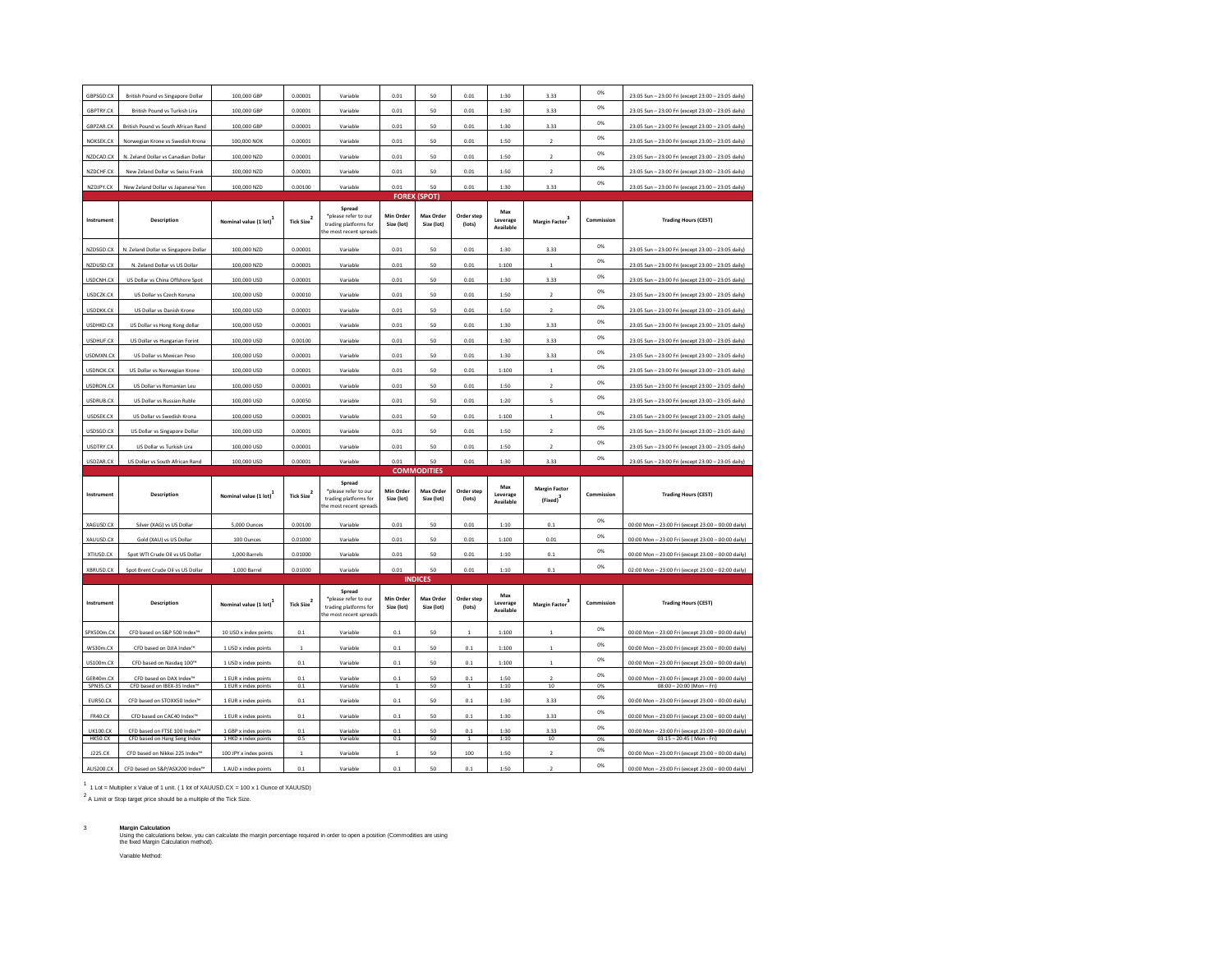| GBPSGD.CX                   | <b>British Pound vs Singapore Dollar</b>                                                  | 100,000 GBP                                    | 0.00001                | Variable                                                                          | 0.01                    | 50                      | 0.01                 | 1:30                         | 3.33                            | CO%        | 23:05 Sun - 23:00 Fri (except 23:00 - 23:05 daily)                                                       |  |  |
|-----------------------------|-------------------------------------------------------------------------------------------|------------------------------------------------|------------------------|-----------------------------------------------------------------------------------|-------------------------|-------------------------|----------------------|------------------------------|---------------------------------|------------|----------------------------------------------------------------------------------------------------------|--|--|
| <b>GBPTRY.CX</b>            | British Pound vs Turkish Lira                                                             | 100,000 GBP                                    | 0.00001                | Variable                                                                          | 0.01                    | 50                      | 0.01                 | 1:30                         | 3.33                            | 0%         | 23:05 Sun - 23:00 Fri (except 23:00 - 23:05 daily)                                                       |  |  |
| GBPZAR.CX                   | British Pound vs South African Rand                                                       | 100,000 GBP                                    | 0.00001                | Variable                                                                          | 0.01                    | 50                      | 0.01                 | 1:30                         | 3.33                            | 0%         | 23:05 Sun - 23:00 Fri (except 23:00 - 23:05 daily)                                                       |  |  |
| NOKSEK.CX                   | Norwegian Krone vs Swedish Krona                                                          | 100,000 NOK                                    | 0.00001                | Variable                                                                          | 0.01                    | 50                      | 0.01                 | 1:50                         | $\overline{ }$                  | 0%         | 23:05 Sun - 23:00 Fri (except 23:00 - 23:05 daily)                                                       |  |  |
| NZDCAD.CX                   | N. Zeland Dollar vs Canadian Dollar                                                       | 100,000 NZD                                    | 0.00001                | Variable                                                                          | 0.01                    | 50                      | 0.01                 | 1:50                         |                                 | CO%        | 23:05 Sun - 23:00 Fri (except 23:00 - 23:05 daily)                                                       |  |  |
| NZDCHF.CX                   | New Zeland Dollar vs Swiss Frank                                                          | 100,000 NZD                                    | 0.00001                | Variable                                                                          | 0.01                    | 50                      | 0.01                 | 1:50                         | $\overline{2}$                  | 0%         | 23:05 Sun - 23:00 Fri (except 23:00 - 23:05 daily)                                                       |  |  |
| NZDJPY.CX                   | New Zeland Dollar vs Japanese Yen                                                         | 100,000 NZD                                    | 0.00100                | Variable                                                                          | 0.01                    | 50                      | 0.01                 | 1:30                         | 3.33                            | O%         | 23:05 Sun - 23:00 Fri (except 23:00 - 23:05 daily)                                                       |  |  |
|                             |                                                                                           |                                                |                        |                                                                                   | <b>FOREX</b>            | (SPOT)                  |                      |                              |                                 |            |                                                                                                          |  |  |
| Instrument                  | Description                                                                               | Nominal value (1 lot)                          | Tick Size $^2$         | Spread<br>*please refer to our<br>trading platforms for<br>the most recent spread | Min Order<br>Size (lot) | Max Order<br>Size (lot) | Order step<br>(lots) | Max<br>Leverage<br>Available | <b>Margin Factor</b>            | Commission | <b>Trading Hours (CEST)</b>                                                                              |  |  |
| NZDSGD.CX                   | N. Zeland Dollar vs Singapore Dollar                                                      | 100,000 NZD                                    | 0.00001                | Variable                                                                          | 0.01                    | 50                      | 0.01                 | 1:30                         | 3.33                            | 0%         | 23:05 Sun - 23:00 Fri (except 23:00 - 23:05 daily)                                                       |  |  |
| NZDUSD.CX                   | N. Zeland Dollar vs US Dollar                                                             | 100,000 NZD                                    | 0.00001                | Variable                                                                          | 0.01                    | 50                      | 0.01                 | 1:100                        |                                 | 0%         | 23:05 Sun - 23:00 Fri (except 23:00 - 23:05 daily                                                        |  |  |
| USDCNH.CX                   | US Dollar vs China Offshore Spot                                                          | 100,000 USD                                    | 0.00001                | Variable                                                                          | 0.01                    | 50                      | 0.01                 | 1:30                         | 3.33                            | O%         | 23:05 Sun - 23:00 Fri (except 23:00 - 23:05 daily)                                                       |  |  |
| USDCZK.CX                   | US Dollar vs Czech Koruna                                                                 | 100,000 USD                                    | 0.00010                | Variable                                                                          | 0.01                    | 50                      | 0.01                 | 1:50                         | $\overline{2}$                  | 0%         | 23:05 Sun - 23:00 Fri (except 23:00 - 23:05 daily)                                                       |  |  |
| USDDKK.CX                   | US Dollar vs Danish Krone                                                                 | 100,000 USD                                    | 0.00001                | Variable                                                                          | 0.01                    | 50                      | 0.01                 | 1:50                         | $\overline{2}$                  | 0%         | 23:05 Sun - 23:00 Fri (except 23:00 - 23:05 daily)                                                       |  |  |
| USDHKD.CX                   | US Dollar vs Hong Kong dollar                                                             | 100,000 USD                                    | 0.00001                | Variable                                                                          | 0.01                    | 50                      | 0.01                 | 1:30                         | 3.33                            | 0%         | 23:05 Sun - 23:00 Fri (except 23:00 - 23:05 daily)                                                       |  |  |
| USDHUF.CX                   | US Dollar vs Hungarian Forint                                                             | 100,000 USD                                    | 0.00100                | Variable                                                                          | 0.01                    | 50                      | 0.01                 | 1:30                         | 3.33                            | CO%        | 23:05 Sun - 23:00 Fri (except 23:00 - 23:05 daily)                                                       |  |  |
| USDMXN.CX                   | US Dollar vs Mexican Peso                                                                 | 100,000 USD                                    | 0.00001                | Variable                                                                          | 0.01                    | 50                      | 0.01                 | 1:30                         | 3.33                            | 0%         | 23:05 Sun - 23:00 Fri (except 23:00 - 23:05 daily)                                                       |  |  |
| USDNOK.CX                   | US Dollar vs Norwegian Krone                                                              | 100,000 USD                                    | 0.00001                | Variable                                                                          | 0.01                    | 50                      | 0.01                 | 1:100                        | $\,$ 1                          | 0%         | 23:05 Sun - 23:00 Fri (except 23:00 - 23:05 daily)                                                       |  |  |
| USDRON.CX                   | US Dollar vs Romanian Leu                                                                 | 100,000 USD                                    | 0.00001                | Variable                                                                          | 0.01                    | 50                      | 0.01                 | 1:50                         | $\overline{ }$                  | 0%         | 23:05 Sun - 23:00 Fri (except 23:00 - 23:05 daily)                                                       |  |  |
| USDRUB.CX                   | US Dollar vs Russian Ruble                                                                | 100,000 USD                                    | 0.00050                | Variable                                                                          | 0.01                    | 50                      | 0.01                 | 1:20                         |                                 | CO%        | 23:05 Sun - 23:00 Fri (except 23:00 - 23:05 daily)                                                       |  |  |
| USDSEK.CX                   | US Dollar vs Swedish Krona                                                                | 100,000 USD                                    | 0.00001                | Variable                                                                          | 0.01                    | 50                      | 0.01                 | 1:100                        | $\mathbf{1}$                    | 0%         | 23:05 Sun - 23:00 Fri (except 23:00 - 23:05 daily)                                                       |  |  |
| USDSGD.CX                   | US Dollar vs Singapore Dollar                                                             | 100,000 USD                                    | 0.00001                | Variable                                                                          | 0.01                    | 50                      | 0.01                 | 1:50                         |                                 | CO%        | 23:05 Sun - 23:00 Fri (except 23:00 - 23:05 daily)                                                       |  |  |
| <b>USDTRY.CX</b>            | US Dollar vs Turkish Lira                                                                 | 100,000 USD                                    | 0.00001                | Variable                                                                          | 0.01                    | 50                      | 0.01                 | 1:50                         |                                 | 0%         | 23:05 Sun - 23:00 Fri (except 23:00 - 23:05 daily)                                                       |  |  |
|                             |                                                                                           |                                                |                        |                                                                                   |                         |                         |                      |                              |                                 |            |                                                                                                          |  |  |
| USDZAR.CX                   | US Dollar vs South African Rand                                                           | 100,000 USD                                    | 0.00001                | Variable                                                                          | 0.01                    | 50                      | 0.01                 | 1:30                         | 333                             | 0%         | 23:05 Sun - 23:00 Fri (except 23:00 - 23:05 daily)                                                       |  |  |
|                             |                                                                                           |                                                |                        |                                                                                   |                         | <b>COMMODITIES</b>      |                      |                              |                                 |            |                                                                                                          |  |  |
| Instrument                  | Description                                                                               | Nominal value (1 lot)                          | Tick Size <sup>2</sup> | Spread<br>*please refer to our<br>trading platforms for<br>the most recent spread | Min Order<br>Size (lot) | Max Order<br>Size (lot) | Order step<br>(lots) | Max<br>Leverage<br>Available | <b>Margin Factor</b><br>(Fixed) | Commission | <b>Trading Hours (CEST)</b>                                                                              |  |  |
| XAGUSD.CX                   | Silver (XAG) vs US Dollar                                                                 | 5,000 Ounces                                   | 0.00100                | Variable                                                                          | 0.01                    | 50                      | 0.01                 | 1:10                         | 0.1                             | 0%         | 00:00 Mon - 23:00 Fri (except 23:00 - 00:00 daily)                                                       |  |  |
| XAUUSD.CX                   | Gold (XAU) vs US Dollar                                                                   | 100 Ounces                                     | 0.01000                | Variable                                                                          | 0.01                    | 50                      | 0.01                 | 1:100                        | 0.01                            | 0%         | 00:00 Mon - 23:00 Fri (except 23:00 - 00:00 daily)                                                       |  |  |
| XTIUSD.CX                   | Spot WTI Crude Oil vs US Dollar                                                           | 1,000 Barrels                                  | 0.01000                | Variable                                                                          | 0.01                    | 50                      | 0.01                 | 1:10                         | 0.1                             | 0%         | 00:00 Mon - 23:00 Fri (except 23:00 - 00:00 daily)                                                       |  |  |
| XBRUSD.CX                   | Spot Brent Crude Oil vs US Dollar                                                         | 1,000 Barrel                                   | 0.01000                | Variable                                                                          | 0.01                    | 50                      | 0.01                 | 1:10                         | 0.1                             | 0%         | 02:00 Mon - 23:00 Fri (except 23:00 - 02:00 daily)                                                       |  |  |
|                             |                                                                                           |                                                |                        |                                                                                   |                         | <b>INDICES</b>          |                      |                              |                                 |            |                                                                                                          |  |  |
| Instrument                  | Description                                                                               | Nominal value (1 lot)                          | <b>Tick Size</b>       | Spread<br>*please refer to our<br>trading platforms for<br>the most recent spread | Min Order<br>Size (lot) | Max Order<br>Size (lot) | Order step<br>(lots) | Max<br>Leverage<br>Available | Margin Factor <sup>3</sup>      | Commission | <b>Trading Hours (CEST)</b>                                                                              |  |  |
| SPX500m CX                  | CFD based on S&P 500 Index <sup>®</sup>                                                   | 10 USD x index points                          | 0 <sub>1</sub>         | Variable                                                                          | 0 <sub>1</sub>          | 50                      | $\mathbf{1}$         | 1:100                        | $\mathbf{1}$                    | 0%         | 00:00 Mon - 23:00 Fri (except 23:00 - 00:00 daily)                                                       |  |  |
| WS30m.CX                    | CFD based on DJIA Index <sup>™</sup>                                                      | 1 USD x index points                           | $\mathbf{1}$           | Variable                                                                          | 0.1                     | 50                      | $0.1\,$              | 1:100                        | $\mathbf{1}$                    | CO%        | 00:00 Mon - 23:00 Fri (except 23:00 - 00:00 daily)                                                       |  |  |
| <b>US100m.CX</b>            | CFD based on Nasdaq 100"                                                                  | 1 USD x index points                           | $0.1\,$                | Variable                                                                          | 0.1                     | 50                      | 0.1                  | 1:100                        | $\mathbf{1}$                    | 0%         | 00:00 Mon - 23:00 Fri (except 23:00 - 00:00 daily)                                                       |  |  |
| GER40m.CX                   | CFD based on DAX Index"                                                                   | 1 EUR x index points                           | 0.1                    | Variable                                                                          | 0.1                     | 50                      | 0.1                  | 1:50                         |                                 | CO%        | 00:00 Mon - 23:00 Fri (except 23:00 - 00:00 daily)                                                       |  |  |
| SPN35.CX                    | CFD based on IBEX-35 Index"                                                               | 1 EUR x index points                           | 0.1                    | Variable<br>Variable                                                              | $\overline{1}$          | 50                      | $\mathbf{1}$         | 1:10                         | 10                              | 0%<br>0%   | 08:00 - 20:00 (Mon - Fri)                                                                                |  |  |
| EURSO.CX<br>FR40.CX         | CFD based on STOXX50 Index <sup>16</sup><br>CFD based on CAC40 Index <sup>16</sup>        | 1 EUR x index points<br>1 EUR x index points   | $0.1\,$<br>0.1         | Variable                                                                          | 0.1<br>0.1              | 50<br>50                | $0.1\,$<br>0.1       | 1:30<br>1:30                 | 3.33<br>3.33                    | 0%         | 00:00 Mon - 23:00 Fri (except 23:00 - 00:00 daily)<br>00:00 Mon - 23:00 Fri (except 23:00 - 00:00 daily) |  |  |
| UK100.CX                    | CFD based on FTSE 100 Index                                                               | 1 GBP x index points                           | 0.1                    | Variable                                                                          | 0.1                     | 50                      | 0.1                  | 1:30                         | 3.33                            | O%         | 00:00 Mon - 23:00 Fri (except 23:00 - 00:00 daily)                                                       |  |  |
| HK50.CX                     | CFD based on Hang Seng Index                                                              | 1 HKD x index points                           | 0.5                    | Variable                                                                          | 0.1                     | 50                      | 1                    | 1:10                         | 10                              | 0%         | $03:15 - 20:45$ (Mon - Fri)                                                                              |  |  |
| J225.CX<br><b>AUS200.CX</b> | CFD based on Nikkei 225 Index <sup>1</sup><br>CFD based on S&P/ASX200 Index <sup>16</sup> | 100 JPY x index points<br>1 AUD x index points | 0.1                    | Variable<br>Variable                                                              | $\mathbf 1$<br>0.1      | 50<br>50                | 100<br>0.1           | 1:50<br>1:50                 | $\mathbf 2$<br>$\overline{2}$   | 0%<br>0%   | 00:00 Mon - 23:00 Fri (except 23:00 - 00:00 daily)<br>00:00 Mon - 23:00 Fri (except 23:00 - 00:00 daily) |  |  |

1 1 Lot = Multiplier x Value of 1 unit. ( 1 lot of XAUUSD.CX = 100 x 1 Ounce of XAUUSD)

2 A Limit or Stop target price should be a multiple of the Tick Size.

3 **Margin Calculation**<br>Using the calculations below, you can calculate the margin percentage required in order to open a position (Commodities are using<br>the fixed Margin Calculation method). Variable Method: